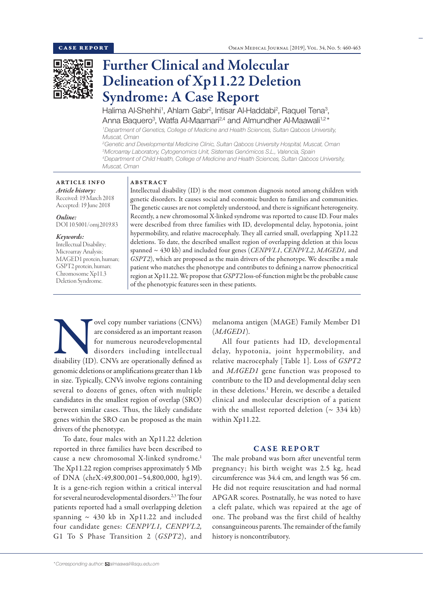

# Further Clinical and Molecular Delineation of Xp11.22 Deletion Syndrome: A Case Report

Halima Al-Shehhi<sup>1</sup>, Ahlam Gabr<sup>2</sup>, Intisar Al-Haddabi<sup>2</sup>, Raquel Tena<sup>3</sup>, Anna Baquero<sup>3</sup>, Watfa Al-Maamari<sup>2,4</sup> and Almundher Al-Maawali<sup>1,2</sup>\*

*1 Department of Genetics, College of Medicine and Health Sciences, Sultan Qaboos University, Muscat, Oman*

 *Genetic and Developmental Medicine Clinic, Sultan Qaboos University Hospital, Muscat, Oman Microarray Laboratory, Cytogenomics Unit, Sistemas Genómicos S.L., Valencia, Spain Department of Child Health, College of Medicine and Health Sciences, Sultan Qaboos University, Muscat, Oman*

### ARTICLE INFO *Article history:*

Received: 19 March 2018 Accepted: 19 June 2018

## *Online:*

DOI 10.5001/omj.2019.83

## *Keywords:*

Intellectual Disability; Microarray Analysis; MAGED1 protein, human; GSPT2 protein, human; Chromosome Xp11.3 Deletion Syndrome.

## ABSTRACT

Intellectual disability (ID) is the most common diagnosis noted among children with genetic disorders. It causes social and economic burden to families and communities. The genetic causes are not completely understood, and there is significant heterogeneity. Recently, a new chromosomal X-linked syndrome was reported to cause ID. Four males were described from three families with ID, developmental delay, hypotonia, joint hypermobility, and relative macrocephaly. They all carried small, overlapping Xp11.22 deletions. To date, the described smallest region of overlapping deletion at this locus spanned ~ 430 kb) and included four genes (*CENPVL1*, *CENPVL2*, *MAGED1,* and *GSPT2*), which are proposed as the main drivers of the phenotype. We describe a male patient who matches the phenotype and contributes to defining a narrow phenocritical region at Xp11.22. We propose that *GSPT2* loss-of-function might be the probable cause of the phenotypic features seen in these patients.

 $\begin{tabular}{|l|l|} \hline \multicolumn{1}{c}{\textbf{ovel copy number variations (CNVs)}}\\ \hline \multicolumn{1}{c}{\textbf{are considered as an important reason}}\\ \hline \multicolumn{1}{c}{\textbf{for numerous neurodevelopmental}}\\ \hline \multicolumn{1}{c}{\textbf{disorders including intellectual}}\\ \hline \multicolumn{1}{c}{\textbf{disability (ID). CNVs are operationally defined as}} \end{tabular}$ are considered as an important reason for numerous neurodevelopmental disorders including intellectual genomic deletions or amplifications greater than 1 kb in size. Typically, CNVs involve regions containing several to dozens of genes, often with multiple candidates in the smallest region of overlap (SRO) between similar cases. Thus, the likely candidate genes within the SRO can be proposed as the main drivers of the phenotype.

To date, four males with an Xp11.22 deletion reported in three families have been described to cause a new chromosomal X-linked syndrome.<sup>1</sup> The Xp11.22 region comprises approximately 5 Mb of DNA (chrX:49,800,001–54,800,000, hg19). It is a gene-rich region within a critical interval for several neurodevelopmental disorders.<sup>2,3</sup> The four patients reported had a small overlapping deletion spanning  $\sim$  430 kb in Xp11.22 and included four candidate genes: *CENPVL1, CENPVL2,*  G1 To S Phase Transition 2 (*GSPT2*), and

melanoma antigen (MAGE) Family Member D1 (*MAGED1*).

All four patients had ID, developmental delay, hypotonia, joint hypermobility, and relative macrocephaly [Table 1]. Loss of *GSPT2* and *MAGED1* gene function was proposed to contribute to the ID and developmental delay seen in these deletions.<sup>1</sup> Herein, we describe a detailed clinical and molecular description of a patient with the smallest reported deletion  $({\sim} 334 \text{ kb})$ within Xp11.22.

# CASE REPORT

The male proband was born after uneventful term pregnancy; his birth weight was 2.5 kg, head circumference was 34.4 cm, and length was 56 cm. He did not require resuscitation and had normal APGAR scores. Postnatally, he was noted to have a cleft palate, which was repaired at the age of one. The proband was the first child of healthy consanguineous parents. The remainder of the family history is noncontributory.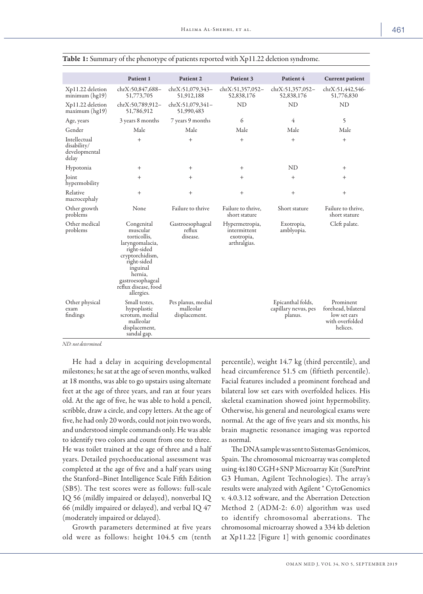|                                                       | Patient 1                                                                                                                                                                                   | Patient 2                                        | Patient 3                                                    | Patient 4                                            | <b>Current patient</b>                                                          |
|-------------------------------------------------------|---------------------------------------------------------------------------------------------------------------------------------------------------------------------------------------------|--------------------------------------------------|--------------------------------------------------------------|------------------------------------------------------|---------------------------------------------------------------------------------|
| Xp11.22 deletion<br>minimum (hg19)                    | chrX:50,847,688-<br>51,773,705                                                                                                                                                              | chrX:51,079,343-<br>51,912,188                   | chrX:51,357,052-<br>52,838,176                               | chrX:51,357,052-<br>52,838,176                       | chrX:51,442,546-<br>51,776,830                                                  |
| Xp11.22 deletion<br>maximum(hg19)                     | chrX:50,789,912-<br>51,786,912                                                                                                                                                              | chrX:51,079,341-<br>51,990,483                   | ND                                                           | <b>ND</b>                                            | <b>ND</b>                                                                       |
| Age, years                                            | 3 years 8 months                                                                                                                                                                            | 7 years 9 months                                 | 6                                                            | 4                                                    | 5                                                                               |
| Gender                                                | Male                                                                                                                                                                                        | Male                                             | Male                                                         | Male                                                 | Male                                                                            |
| Intellectual<br>disability/<br>developmental<br>delay | $^{+}$                                                                                                                                                                                      | $^{+}$                                           | $^{+}$                                                       | $\ddot{}$                                            | $+$                                                                             |
| Hypotonia                                             | $^+$                                                                                                                                                                                        | $^{+}$                                           | $^{+}$                                                       | ND                                                   | $^+$                                                                            |
| Joint<br>hypermobility                                | $^{+}$                                                                                                                                                                                      | $^{+}$                                           | $^{+}$                                                       | $^{+}$                                               | $^{+}$                                                                          |
| Relative<br>macrocephaly                              | $^{+}$                                                                                                                                                                                      | $^{+}$                                           | $^{+}$                                                       | $^{+}$                                               | $^{+}$                                                                          |
| Other growth<br>problems                              | None                                                                                                                                                                                        | Failure to thrive                                | Failure to thrive,<br>short stature                          | Short stature                                        | Failure to thrive,<br>short stature                                             |
| Other medical<br>problems                             | Congenital<br>muscular<br>torticollis,<br>laryngomalacia,<br>right-sided<br>cryptorchidism,<br>right-sided<br>inguinal<br>hernia,<br>gastroesophageal<br>reflux disease, food<br>allergies. | Gastroesophageal<br>reflux<br>disease.           | Hypermetropia,<br>intermittent<br>exotropia,<br>arthralgias. | Exotropia,<br>amblyopia.                             | Cleft palate.                                                                   |
| Other physical<br>exam<br>findings                    | Small testes,<br>hypoplastic<br>scrotum, medial<br>malleolar<br>displacement,<br>sandal gap.                                                                                                | Pes planus, medial<br>malleolar<br>displacement. |                                                              | Epicanthal folds,<br>capillary nevus, pes<br>planus. | Prominent<br>forehead, bilateral<br>low set ears<br>with overfolded<br>helices. |

| Table 1: Summary of the phenotype of patients reported with Xp11.22 deletion syndrome. |  |  |  |
|----------------------------------------------------------------------------------------|--|--|--|
|----------------------------------------------------------------------------------------|--|--|--|

*ND: not determined.*

He had a delay in acquiring developmental milestones; he sat at the age of seven months, walked at 18 months, was able to go upstairs using alternate feet at the age of three years, and ran at four years old. At the age of five, he was able to hold a pencil, scribble, draw a circle, and copy letters. At the age of five, he had only 20 words, could not join two words, and understood simple commands only. He was able to identify two colors and count from one to three. He was toilet trained at the age of three and a half years. Detailed psychoeducational assessment was completed at the age of five and a half years using the Stanford–Binet Intelligence Scale Fifth Edition (SB5). The test scores were as follows: full-scale IQ 56 (mildly impaired or delayed), nonverbal IQ 66 (mildly impaired or delayed), and verbal IQ 47 (moderately impaired or delayed).

Growth parameters determined at five years old were as follows: height 104.5 cm (tenth percentile), weight 14.7 kg (third percentile), and head circumference 51.5 cm (fiftieth percentile). Facial features included a prominent forehead and bilateral low set ears with overfolded helices. His skeletal examination showed joint hypermobility. Otherwise, his general and neurological exams were normal. At the age of five years and six months, his brain magnetic resonance imaging was reported as normal.

The DNA sample was sent to Sistemas Genómicos, Spain. The chromosomal microarray was completed using 4x180 CGH+SNP Microarray Kit (SurePrint G3 Human, Agilent Technologies). The array's results were analyzed with Agilent ® CytoGenomics v. 4.0.3.12 software, and the Aberration Detection Method 2 (ADM-2: 6.0) algorithm was used to identify chromosomal aberrations. The chromosomal microarray showed a 334 kb deletion at Xp11.22 [Figure 1] with genomic coordinates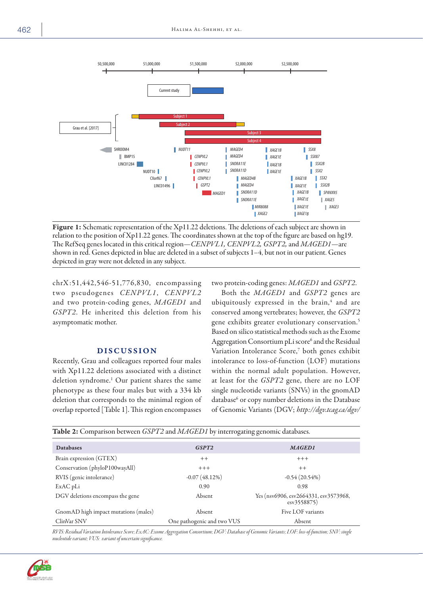

Figure 1: Schematic representation of the Xp11.22 deletions. The deletions of each subject are shown in relation to the position of Xp11.22 genes. The coordinates shown at the top of the figure are based on hg19. The RefSeq genes located in this critical region—*CENPVL1, CENPVL2, GSPT2,* and *MAGED1*—are shown in red. Genes depicted in blue are deleted in a subset of subjects 1–4, but not in our patient. Genes depicted in gray were not deleted in any subject.

chrX :51,442,546-51,776,830, encompassing two pseudogenes *CENPVL1*, *CENPVL2* and two protein-coding genes, *MAGED1* and *GSPT2*. He inherited this deletion from his asymptomatic mother.

# **DISCUSSION**

Recently, Grau and colleagues reported four males with Xp11.22 deletions associated with a distinct deletion syndrome.1 Our patient shares the same phenotype as these four males but with a 334 kb deletion that corresponds to the minimal region of overlap reported [Table 1]. This region encompasses

two protein-coding genes: *MAGED1* and *GSPT2*.

Both the *MAGED1* and *GSPT2* genes are ubiquitously expressed in the brain, $4$  and are conserved among vertebrates; however, the *GSPT2* gene exhibits greater evolutionary conservation.5 Based on silico statistical methods such as the Exome Aggregation Consortium pLi score<sup>6</sup> and the Residual Variation Intolerance Score,7 both genes exhibit intolerance to loss-of-function (LOF) mutations within the normal adult population. However, at least for the *GSPT2* gene, there are no LOF single nucleotide variants (SNVs) in the gnomAD database<sup>6</sup> or copy number deletions in the Database of Genomic Variants (DGV; *http://dgv.tcag.ca/dgv/*

| Table 2: Comparison between GSPT2 and MAGED1 by interrogating genomic databases. |                            |                                                      |  |  |  |  |  |
|----------------------------------------------------------------------------------|----------------------------|------------------------------------------------------|--|--|--|--|--|
| <b>Databases</b>                                                                 | GSPT <sub>2</sub>          | <b>MAGED1</b>                                        |  |  |  |  |  |
| Brain expression (GTEX)                                                          | $++$                       | $+++$                                                |  |  |  |  |  |
| Conservation (phyloP100wayAll)                                                   | $+++$                      | $++$                                                 |  |  |  |  |  |
| RVIS (genic intolerance)                                                         | $-0.07(48.12%)$            | $-0.54(20.54%)$                                      |  |  |  |  |  |
| ExAC pLi                                                                         | 0.90                       | 0.98                                                 |  |  |  |  |  |
| DGV deletions encompass the gene                                                 | Absent                     | Yes (nsv6906, esv2664331, esv3573968,<br>esv3558875) |  |  |  |  |  |
| GnomAD high impact mutations (males)                                             | Absent                     | Five LOF variants                                    |  |  |  |  |  |
| ClinVar SNV                                                                      | One pathogenic and two VUS | Absent                                               |  |  |  |  |  |

*RVIS: Residual Variation Intolerance Score; ExAC: Exome Aggregation Consortium; DGV: Database of Genomic Variants; LOF: loss-of-function; SNV: single nucleotide variant; VUS: variant of uncertain significance.*